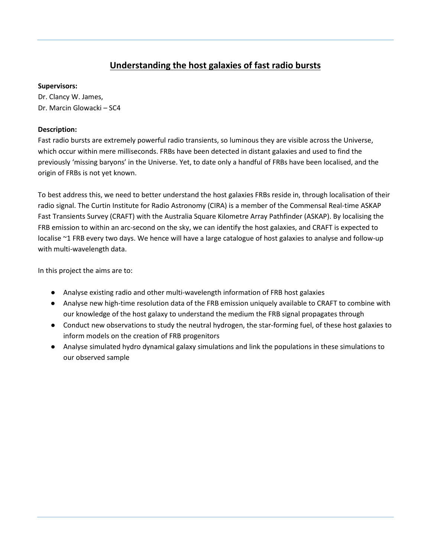## **Understanding the host galaxies of fast radio bursts**

## **Supervisors:**

Dr. Clancy W. James, Dr. Marcin Glowacki – SC4

## **Description:**

Fast radio bursts are extremely powerful radio transients, so luminous they are visible across the Universe, which occur within mere milliseconds. FRBs have been detected in distant galaxies and used to find the previously 'missing baryons' in the Universe. Yet, to date only a handful of FRBs have been localised, and the origin of FRBs is not yet known.

To best address this, we need to better understand the host galaxies FRBs reside in, through localisation of their radio signal. The Curtin Institute for Radio Astronomy (CIRA) is a member of the Commensal Real-time ASKAP Fast Transients Survey (CRAFT) with the Australia Square Kilometre Array Pathfinder (ASKAP). By localising the FRB emission to within an arc-second on the sky, we can identify the host galaxies, and CRAFT is expected to localise ~1 FRB every two days. We hence will have a large catalogue of host galaxies to analyse and follow-up with multi-wavelength data.

In this project the aims are to:

- Analyse existing radio and other multi-wavelength information of FRB host galaxies
- Analyse new high-time resolution data of the FRB emission uniquely available to CRAFT to combine with our knowledge of the host galaxy to understand the medium the FRB signal propagates through
- Conduct new observations to study the neutral hydrogen, the star-forming fuel, of these host galaxies to inform models on the creation of FRB progenitors
- Analyse simulated hydro dynamical galaxy simulations and link the populations in these simulations to our observed sample